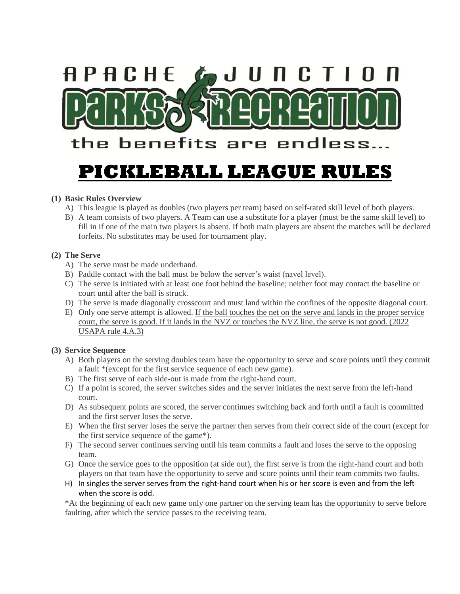

## **(1) Basic Rules Overview**

- A) This league is played as doubles (two players per team) based on self-rated skill level of both players.
- B) A team consists of two players. A Team can use a substitute for a player (must be the same skill level) to fill in if one of the main two players is absent. If both main players are absent the matches will be declared forfeits. No substitutes may be used for tournament play.

## **(2) The Serve**

- A) The serve must be made underhand.
- B) Paddle contact with the ball must be below the server's waist (navel level).
- C) The serve is initiated with at least one foot behind the baseline; neither foot may contact the baseline or court until after the ball is struck.
- D) The serve is made diagonally crosscourt and must land within the confines of the opposite diagonal court.
- E) Only one serve attempt is allowed. If the ball touches the net on the serve and lands in the proper service court, the serve is good. If it lands in the NVZ or touches the NVZ line, the serve is not good. (2022 USAPA rule 4.A.3)

#### **(3) Service Sequence**

- A) Both players on the serving doubles team have the opportunity to serve and score points until they commit a fault \*(except for the first service sequence of each new game).
- B) The first serve of each side-out is made from the right-hand court.
- C) If a point is scored, the server switches sides and the server initiates the next serve from the left-hand court.
- D) As subsequent points are scored, the server continues switching back and forth until a fault is committed and the first server loses the serve.
- E) When the first server loses the serve the partner then serves from their correct side of the court (except for the first service sequence of the game\*).
- F) The second server continues serving until his team commits a fault and loses the serve to the opposing team.
- G) Once the service goes to the opposition (at side out), the first serve is from the right-hand court and both players on that team have the opportunity to serve and score points until their team commits two faults.
- H) In singles the server serves from the right-hand court when his or her score is even and from the left when the score is odd.

\*At the beginning of each new game only one partner on the serving team has the opportunity to serve before faulting, after which the service passes to the receiving team.